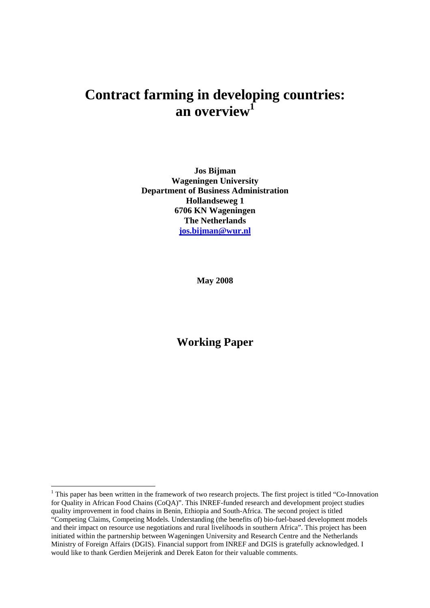# **Contract farming in developing countries: an overview<sup>1</sup>**

**Jos Bijman Wageningen University Department of Business Administration Hollandseweg 1 6706 KN Wageningen The Netherlands jos.bijman@wur.nl**

**May 2008** 

# **Working Paper**

 $\overline{a}$ 

<sup>&</sup>lt;sup>1</sup> This paper has been written in the framework of two research projects. The first project is titled "Co-Innovation" for Quality in African Food Chains (CoQA)". This INREF-funded research and development project studies quality improvement in food chains in Benin, Ethiopia and South-Africa. The second project is titled "Competing Claims, Competing Models. Understanding (the benefits of) bio-fuel-based development models and their impact on resource use negotiations and rural livelihoods in southern Africa". This project has been initiated within the partnership between Wageningen University and Research Centre and the Netherlands Ministry of Foreign Affairs (DGIS). Financial support from INREF and DGIS is gratefully acknowledged. I would like to thank Gerdien Meijerink and Derek Eaton for their valuable comments.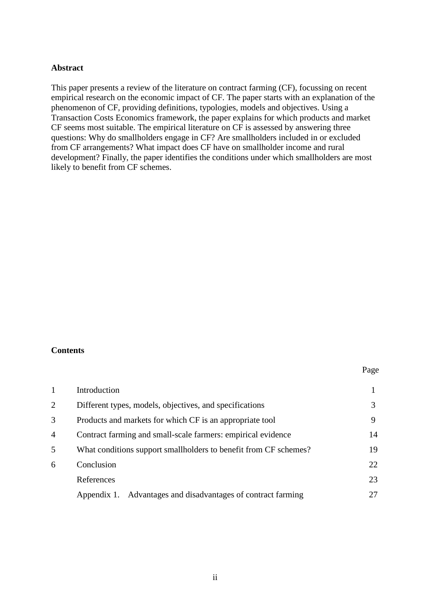#### **Abstract**

This paper presents a review of the literature on contract farming (CF), focussing on recent empirical research on the economic impact of CF. The paper starts with an explanation of the phenomenon of CF, providing definitions, typologies, models and objectives. Using a Transaction Costs Economics framework, the paper explains for which products and market CF seems most suitable. The empirical literature on CF is assessed by answering three questions: Why do smallholders engage in CF? Are smallholders included in or excluded from CF arrangements? What impact does CF have on smallholder income and rural development? Finally, the paper identifies the conditions under which smallholders are most likely to benefit from CF schemes.

#### **Contents**

#### Page

|   | Introduction                                                     |    |
|---|------------------------------------------------------------------|----|
| 2 | Different types, models, objectives, and specifications          |    |
| 3 | Products and markets for which CF is an appropriate tool         | 9  |
| 4 | Contract farming and small-scale farmers: empirical evidence     | 14 |
| 5 | What conditions support smallholders to benefit from CF schemes? | 19 |
| 6 | Conclusion                                                       | 22 |
|   | References                                                       | 23 |
|   | Appendix 1. Advantages and disadvantages of contract farming     |    |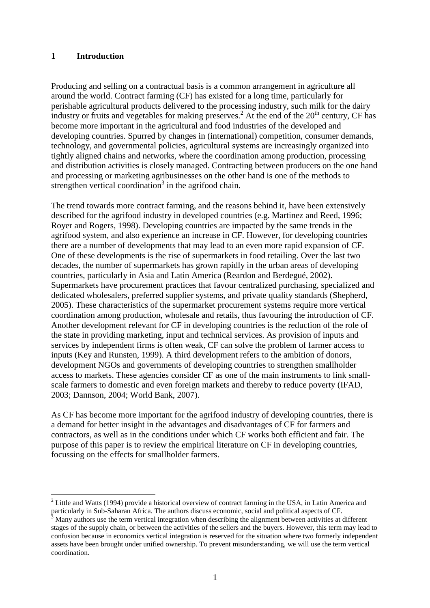#### **1 Introduction**

 $\overline{a}$ 

Producing and selling on a contractual basis is a common arrangement in agriculture all around the world. Contract farming (CF) has existed for a long time, particularly for perishable agricultural products delivered to the processing industry, such milk for the dairy industry or fruits and vegetables for making preserves.<sup>2</sup> At the end of the  $20<sup>th</sup>$  century, CF has become more important in the agricultural and food industries of the developed and developing countries. Spurred by changes in (international) competition, consumer demands, technology, and governmental policies, agricultural systems are increasingly organized into tightly aligned chains and networks, where the coordination among production, processing and distribution activities is closely managed. Contracting between producers on the one hand and processing or marketing agribusinesses on the other hand is one of the methods to strengthen vertical coordination<sup>3</sup> in the agrifood chain.

The trend towards more contract farming, and the reasons behind it, have been extensively described for the agrifood industry in developed countries (e.g. Martinez and Reed, 1996; Royer and Rogers, 1998). Developing countries are impacted by the same trends in the agrifood system, and also experience an increase in CF. However, for developing countries there are a number of developments that may lead to an even more rapid expansion of CF. One of these developments is the rise of supermarkets in food retailing. Over the last two decades, the number of supermarkets has grown rapidly in the urban areas of developing countries, particularly in Asia and Latin America (Reardon and Berdegué, 2002). Supermarkets have procurement practices that favour centralized purchasing, specialized and dedicated wholesalers, preferred supplier systems, and private quality standards (Shepherd, 2005). These characteristics of the supermarket procurement systems require more vertical coordination among production, wholesale and retails, thus favouring the introduction of CF. Another development relevant for CF in developing countries is the reduction of the role of the state in providing marketing, input and technical services. As provision of inputs and services by independent firms is often weak, CF can solve the problem of farmer access to inputs (Key and Runsten, 1999). A third development refers to the ambition of donors, development NGOs and governments of developing countries to strengthen smallholder access to markets. These agencies consider CF as one of the main instruments to link smallscale farmers to domestic and even foreign markets and thereby to reduce poverty (IFAD, 2003; Dannson, 2004; World Bank, 2007).

As CF has become more important for the agrifood industry of developing countries, there is a demand for better insight in the advantages and disadvantages of CF for farmers and contractors, as well as in the conditions under which CF works both efficient and fair. The purpose of this paper is to review the empirical literature on CF in developing countries, focussing on the effects for smallholder farmers.

 $2$  Little and Watts (1994) provide a historical overview of contract farming in the USA, in Latin America and particularly in Sub-Saharan Africa. The authors discuss economic, social and political aspects of CF.

<sup>3</sup> Many authors use the term vertical integration when describing the alignment between activities at different stages of the supply chain, or between the activities of the sellers and the buyers. However, this term may lead to confusion because in economics vertical integration is reserved for the situation where two formerly independent assets have been brought under unified ownership. To prevent misunderstanding, we will use the term vertical coordination.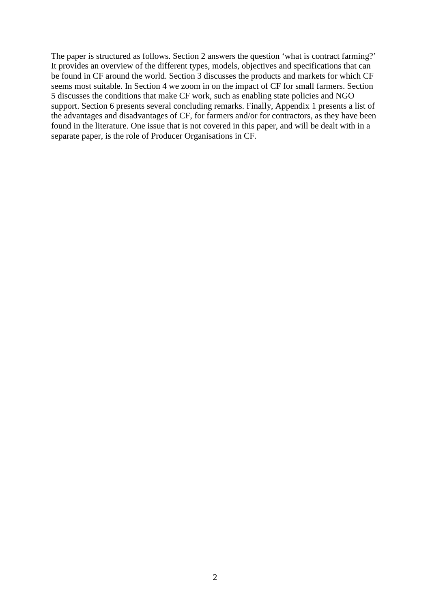The paper is structured as follows. Section 2 answers the question 'what is contract farming?' It provides an overview of the different types, models, objectives and specifications that can be found in CF around the world. Section 3 discusses the products and markets for which CF seems most suitable. In Section 4 we zoom in on the impact of CF for small farmers. Section 5 discusses the conditions that make CF work, such as enabling state policies and NGO support. Section 6 presents several concluding remarks. Finally, Appendix 1 presents a list of the advantages and disadvantages of CF, for farmers and/or for contractors, as they have been found in the literature. One issue that is not covered in this paper, and will be dealt with in a separate paper, is the role of Producer Organisations in CF.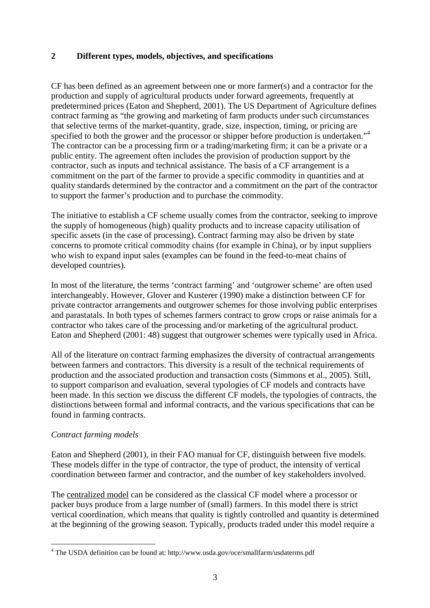## **2 Different types, models, objectives, and specifications**

CF has been defined as an agreement between one or more farmer(s) and a contractor for the production and supply of agricultural products under forward agreements, frequently at predetermined prices (Eaton and Shepherd, 2001). The US Department of Agriculture defines contract farming as "the growing and marketing of farm products under such circumstances that selective terms of the market-quantity, grade, size, inspection, timing, or pricing are specified to both the grower and the processor or shipper before production is undertaken."<sup>4</sup> The contractor can be a processing firm or a trading/marketing firm; it can be a private or a public entity. The agreement often includes the provision of production support by the contractor, such as inputs and technical assistance. The basis of a CF arrangement is a commitment on the part of the farmer to provide a specific commodity in quantities and at quality standards determined by the contractor and a commitment on the part of the contractor to support the farmer's production and to purchase the commodity.

The initiative to establish a CF scheme usually comes from the contractor, seeking to improve the supply of homogeneous (high) quality products and to increase capacity utilisation of specific assets (in the case of processing). Contract farming may also be driven by state concerns to promote critical commodity chains (for example in China), or by input suppliers who wish to expand input sales (examples can be found in the feed-to-meat chains of developed countries).

In most of the literature, the terms 'contract farming' and 'outgrower scheme' are often used interchangeably. However, Glover and Kusterer (1990) make a distinction between CF for private contractor arrangements and outgrower schemes for those involving public enterprises and parastatals. In both types of schemes farmers contract to grow crops or raise animals for a contractor who takes care of the processing and/or marketing of the agricultural product. Eaton and Shepherd (2001: 48) suggest that outgrower schemes were typically used in Africa.

All of the literature on contract farming emphasizes the diversity of contractual arrangements between farmers and contractors. This diversity is a result of the technical requirements of production and the associated production and transaction costs (Simmons et al., 2005). Still, to support comparison and evaluation, several typologies of CF models and contracts have been made. In this section we discuss the different CF models, the typologies of contracts, the distinctions between formal and informal contracts, and the various specifications that can be found in farming contracts.

#### *Contract farming models*

Eaton and Shepherd (2001), in their FAO manual for CF, distinguish between five models. These models differ in the type of contractor, the type of product, the intensity of vertical coordination between farmer and contractor, and the number of key stakeholders involved.

The centralized model can be considered as the classical CF model where a processor or packer buys produce from a large number of (small) farmers. In this model there is strict vertical coordination, which means that quality is tightly controlled and quantity is determined at the beginning of the growing season. Typically, products traded under this model require a

 4 The USDA definition can be found at: http://www.usda.gov/oce/smallfarm/usdaterms.pdf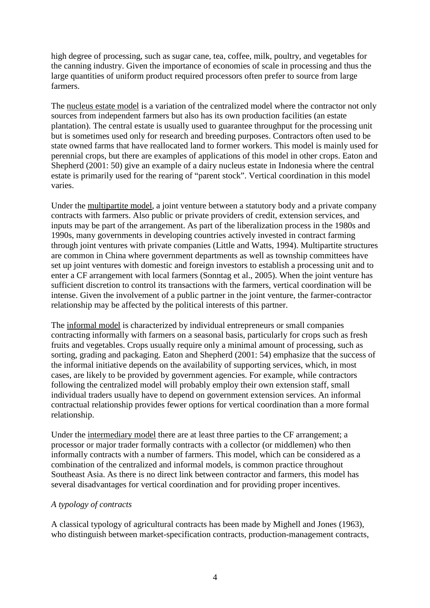high degree of processing, such as sugar cane, tea, coffee, milk, poultry, and vegetables for the canning industry. Given the importance of economies of scale in processing and thus the large quantities of uniform product required processors often prefer to source from large farmers.

The nucleus estate model is a variation of the centralized model where the contractor not only sources from independent farmers but also has its own production facilities (an estate plantation). The central estate is usually used to guarantee throughput for the processing unit but is sometimes used only for research and breeding purposes. Contractors often used to be state owned farms that have reallocated land to former workers. This model is mainly used for perennial crops, but there are examples of applications of this model in other crops. Eaton and Shepherd (2001: 50) give an example of a dairy nucleus estate in Indonesia where the central estate is primarily used for the rearing of "parent stock". Vertical coordination in this model varies.

Under the multipartite model, a joint venture between a statutory body and a private company contracts with farmers. Also public or private providers of credit, extension services, and inputs may be part of the arrangement. As part of the liberalization process in the 1980s and 1990s, many governments in developing countries actively invested in contract farming through joint ventures with private companies (Little and Watts, 1994). Multipartite structures are common in China where government departments as well as township committees have set up joint ventures with domestic and foreign investors to establish a processing unit and to enter a CF arrangement with local farmers (Sonntag et al., 2005). When the joint venture has sufficient discretion to control its transactions with the farmers, vertical coordination will be intense. Given the involvement of a public partner in the joint venture, the farmer-contractor relationship may be affected by the political interests of this partner.

The informal model is characterized by individual entrepreneurs or small companies contracting informally with farmers on a seasonal basis, particularly for crops such as fresh fruits and vegetables. Crops usually require only a minimal amount of processing, such as sorting, grading and packaging. Eaton and Shepherd (2001: 54) emphasize that the success of the informal initiative depends on the availability of supporting services, which, in most cases, are likely to be provided by government agencies. For example, while contractors following the centralized model will probably employ their own extension staff, small individual traders usually have to depend on government extension services. An informal contractual relationship provides fewer options for vertical coordination than a more formal relationship.

Under the intermediary model there are at least three parties to the CF arrangement; a processor or major trader formally contracts with a collector (or middlemen) who then informally contracts with a number of farmers. This model, which can be considered as a combination of the centralized and informal models, is common practice throughout Southeast Asia. As there is no direct link between contractor and farmers, this model has several disadvantages for vertical coordination and for providing proper incentives.

## *A typology of contracts*

A classical typology of agricultural contracts has been made by Mighell and Jones (1963), who distinguish between market-specification contracts, production-management contracts,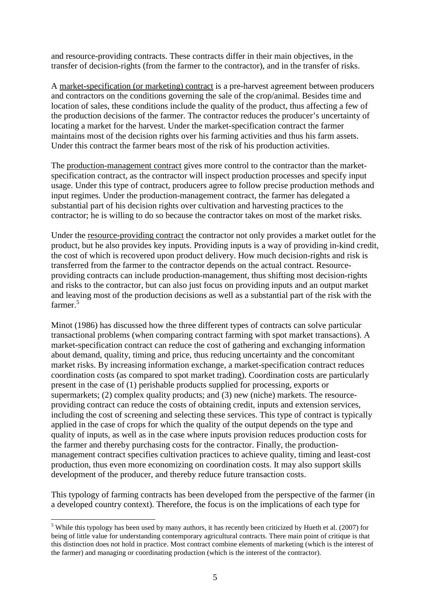and resource-providing contracts. These contracts differ in their main objectives, in the transfer of decision-rights (from the farmer to the contractor), and in the transfer of risks.

A market-specification (or marketing) contract is a pre-harvest agreement between producers and contractors on the conditions governing the sale of the crop/animal. Besides time and location of sales, these conditions include the quality of the product, thus affecting a few of the production decisions of the farmer. The contractor reduces the producer's uncertainty of locating a market for the harvest. Under the market-specification contract the farmer maintains most of the decision rights over his farming activities and thus his farm assets. Under this contract the farmer bears most of the risk of his production activities.

The production-management contract gives more control to the contractor than the marketspecification contract, as the contractor will inspect production processes and specify input usage. Under this type of contract, producers agree to follow precise production methods and input regimes. Under the production-management contract, the farmer has delegated a substantial part of his decision rights over cultivation and harvesting practices to the contractor; he is willing to do so because the contractor takes on most of the market risks.

Under the resource-providing contract the contractor not only provides a market outlet for the product, but he also provides key inputs. Providing inputs is a way of providing in-kind credit, the cost of which is recovered upon product delivery. How much decision-rights and risk is transferred from the farmer to the contractor depends on the actual contract. Resourceproviding contracts can include production-management, thus shifting most decision-rights and risks to the contractor, but can also just focus on providing inputs and an output market and leaving most of the production decisions as well as a substantial part of the risk with the farmer.<sup>5</sup>

Minot (1986) has discussed how the three different types of contracts can solve particular transactional problems (when comparing contract farming with spot market transactions). A market-specification contract can reduce the cost of gathering and exchanging information about demand, quality, timing and price, thus reducing uncertainty and the concomitant market risks. By increasing information exchange, a market-specification contract reduces coordination costs (as compared to spot market trading). Coordination costs are particularly present in the case of (1) perishable products supplied for processing, exports or supermarkets; (2) complex quality products; and (3) new (niche) markets. The resourceproviding contract can reduce the costs of obtaining credit, inputs and extension services, including the cost of screening and selecting these services. This type of contract is typically applied in the case of crops for which the quality of the output depends on the type and quality of inputs, as well as in the case where inputs provision reduces production costs for the farmer and thereby purchasing costs for the contractor. Finally, the productionmanagement contract specifies cultivation practices to achieve quality, timing and least-cost production, thus even more economizing on coordination costs. It may also support skills development of the producer, and thereby reduce future transaction costs.

This typology of farming contracts has been developed from the perspective of the farmer (in a developed country context). Therefore, the focus is on the implications of each type for

 $\overline{a}$  $<sup>5</sup>$  While this typology has been used by many authors, it has recently been criticized by Hueth et al. (2007) for</sup> being of little value for understanding contemporary agricultural contracts. There main point of critique is that this distinction does not hold in practice. Most contract combine elements of marketing (which is the interest of the farmer) and managing or coordinating production (which is the interest of the contractor).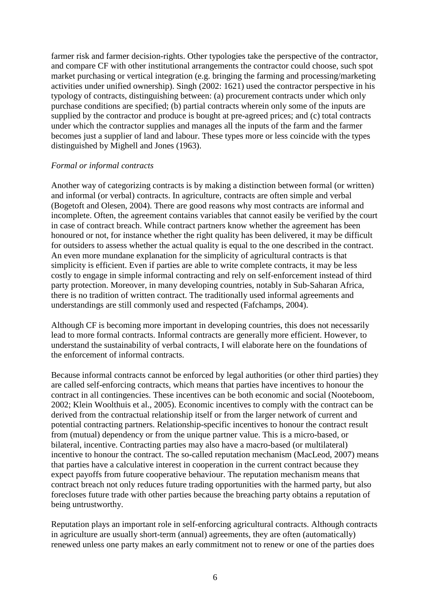farmer risk and farmer decision-rights. Other typologies take the perspective of the contractor, and compare CF with other institutional arrangements the contractor could choose, such spot market purchasing or vertical integration (e.g. bringing the farming and processing/marketing activities under unified ownership). Singh (2002: 1621) used the contractor perspective in his typology of contracts, distinguishing between: (a) procurement contracts under which only purchase conditions are specified; (b) partial contracts wherein only some of the inputs are supplied by the contractor and produce is bought at pre-agreed prices; and (c) total contracts under which the contractor supplies and manages all the inputs of the farm and the farmer becomes just a supplier of land and labour. These types more or less coincide with the types distinguished by Mighell and Jones (1963).

#### *Formal or informal contracts*

Another way of categorizing contracts is by making a distinction between formal (or written) and informal (or verbal) contracts. In agriculture, contracts are often simple and verbal (Bogetoft and Olesen, 2004). There are good reasons why most contracts are informal and incomplete. Often, the agreement contains variables that cannot easily be verified by the court in case of contract breach. While contract partners know whether the agreement has been honoured or not, for instance whether the right quality has been delivered, it may be difficult for outsiders to assess whether the actual quality is equal to the one described in the contract. An even more mundane explanation for the simplicity of agricultural contracts is that simplicity is efficient. Even if parties are able to write complete contracts, it may be less costly to engage in simple informal contracting and rely on self-enforcement instead of third party protection. Moreover, in many developing countries, notably in Sub-Saharan Africa, there is no tradition of written contract. The traditionally used informal agreements and understandings are still commonly used and respected (Fafchamps, 2004).

Although CF is becoming more important in developing countries, this does not necessarily lead to more formal contracts. Informal contracts are generally more efficient. However, to understand the sustainability of verbal contracts, I will elaborate here on the foundations of the enforcement of informal contracts.

Because informal contracts cannot be enforced by legal authorities (or other third parties) they are called self-enforcing contracts, which means that parties have incentives to honour the contract in all contingencies. These incentives can be both economic and social (Nooteboom, 2002; Klein Woolthuis et al., 2005). Economic incentives to comply with the contract can be derived from the contractual relationship itself or from the larger network of current and potential contracting partners. Relationship-specific incentives to honour the contract result from (mutual) dependency or from the unique partner value. This is a micro-based, or bilateral, incentive. Contracting parties may also have a macro-based (or multilateral) incentive to honour the contract. The so-called reputation mechanism (MacLeod, 2007) means that parties have a calculative interest in cooperation in the current contract because they expect payoffs from future cooperative behaviour. The reputation mechanism means that contract breach not only reduces future trading opportunities with the harmed party, but also forecloses future trade with other parties because the breaching party obtains a reputation of being untrustworthy.

Reputation plays an important role in self-enforcing agricultural contracts. Although contracts in agriculture are usually short-term (annual) agreements, they are often (automatically) renewed unless one party makes an early commitment not to renew or one of the parties does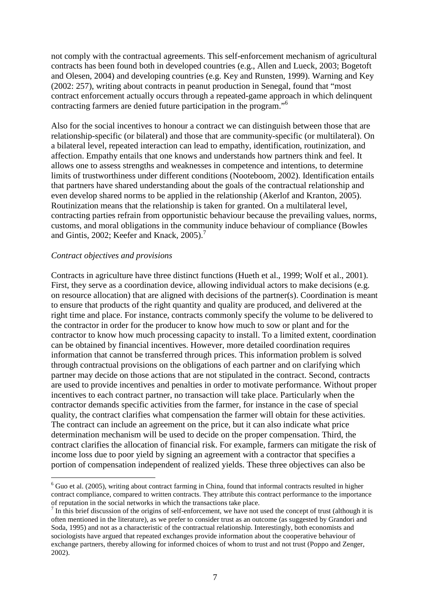not comply with the contractual agreements. This self-enforcement mechanism of agricultural contracts has been found both in developed countries (e.g., Allen and Lueck, 2003; Bogetoft and Olesen, 2004) and developing countries (e.g. Key and Runsten, 1999). Warning and Key (2002: 257), writing about contracts in peanut production in Senegal, found that "most contract enforcement actually occurs through a repeated-game approach in which delinquent contracting farmers are denied future participation in the program."<sup>6</sup>

Also for the social incentives to honour a contract we can distinguish between those that are relationship-specific (or bilateral) and those that are community-specific (or multilateral). On a bilateral level, repeated interaction can lead to empathy, identification, routinization, and affection. Empathy entails that one knows and understands how partners think and feel. It allows one to assess strengths and weaknesses in competence and intentions, to determine limits of trustworthiness under different conditions (Nooteboom, 2002). Identification entails that partners have shared understanding about the goals of the contractual relationship and even develop shared norms to be applied in the relationship (Akerlof and Kranton, 2005). Routinization means that the relationship is taken for granted. On a multilateral level, contracting parties refrain from opportunistic behaviour because the prevailing values, norms, customs, and moral obligations in the community induce behaviour of compliance (Bowles and Gintis, 2002; Keefer and Knack,  $2005$ ).<sup>7</sup>

#### *Contract objectives and provisions*

 $\overline{a}$ 

Contracts in agriculture have three distinct functions (Hueth et al., 1999; Wolf et al., 2001). First, they serve as a coordination device, allowing individual actors to make decisions (e.g. on resource allocation) that are aligned with decisions of the partner(s). Coordination is meant to ensure that products of the right quantity and quality are produced, and delivered at the right time and place. For instance, contracts commonly specify the volume to be delivered to the contractor in order for the producer to know how much to sow or plant and for the contractor to know how much processing capacity to install. To a limited extent, coordination can be obtained by financial incentives. However, more detailed coordination requires information that cannot be transferred through prices. This information problem is solved through contractual provisions on the obligations of each partner and on clarifying which partner may decide on those actions that are not stipulated in the contract. Second, contracts are used to provide incentives and penalties in order to motivate performance. Without proper incentives to each contract partner, no transaction will take place. Particularly when the contractor demands specific activities from the farmer, for instance in the case of special quality, the contract clarifies what compensation the farmer will obtain for these activities. The contract can include an agreement on the price, but it can also indicate what price determination mechanism will be used to decide on the proper compensation. Third, the contract clarifies the allocation of financial risk. For example, farmers can mitigate the risk of income loss due to poor yield by signing an agreement with a contractor that specifies a portion of compensation independent of realized yields. These three objectives can also be

 $6$  Guo et al. (2005), writing about contract farming in China, found that informal contracts resulted in higher contract compliance, compared to written contracts. They attribute this contract performance to the importance of reputation in the social networks in which the transactions take place.

 $<sup>7</sup>$  In this brief discussion of the origins of self-enforcement, we have not used the concept of trust (although it is</sup> often mentioned in the literature), as we prefer to consider trust as an outcome (as suggested by Grandori and Soda, 1995) and not as a characteristic of the contractual relationship. Interestingly, both economists and sociologists have argued that repeated exchanges provide information about the cooperative behaviour of exchange partners, thereby allowing for informed choices of whom to trust and not trust (Poppo and Zenger, 2002).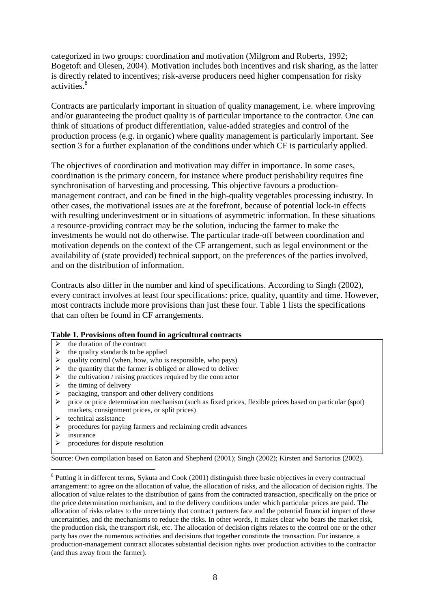categorized in two groups: coordination and motivation (Milgrom and Roberts, 1992; Bogetoft and Olesen, 2004). Motivation includes both incentives and risk sharing, as the latter is directly related to incentives; risk-averse producers need higher compensation for risky activities.<sup>8</sup>

Contracts are particularly important in situation of quality management, i.e. where improving and/or guaranteeing the product quality is of particular importance to the contractor. One can think of situations of product differentiation, value-added strategies and control of the production process (e.g. in organic) where quality management is particularly important. See section 3 for a further explanation of the conditions under which CF is particularly applied.

The objectives of coordination and motivation may differ in importance. In some cases, coordination is the primary concern, for instance where product perishability requires fine synchronisation of harvesting and processing. This objective favours a productionmanagement contract, and can be fined in the high-quality vegetables processing industry. In other cases, the motivational issues are at the forefront, because of potential lock-in effects with resulting underinvestment or in situations of asymmetric information. In these situations a resource-providing contract may be the solution, inducing the farmer to make the investments he would not do otherwise. The particular trade-off between coordination and motivation depends on the context of the CF arrangement, such as legal environment or the availability of (state provided) technical support, on the preferences of the parties involved, and on the distribution of information.

Contracts also differ in the number and kind of specifications. According to Singh (2002), every contract involves at least four specifications: price, quality, quantity and time. However, most contracts include more provisions than just these four. Table 1 lists the specifications that can often be found in CF arrangements.

#### **Table 1. Provisions often found in agricultural contracts**

- $\rightarrow$  the duration of the contract<br> $\rightarrow$  the quality standards to be a
- the quality standards to be applied
- 
- $\geq$  quality control (when, how, who is responsible, who pays)<br>  $\geq$  the quantity that the farmer is obliged or allowed to deliver
- $\geq$  the quantity that the farmer is obliged or allowed to deliver<br> $\geq$  the cultivation / raising practices required by the contractor  $\triangleright$  the cultivation / raising practices required by the contractor  $\triangleright$  the timing of delivery
- $\geq$  the timing of delivery<br> $\geq$  nackaging, transport a
- $\geq$  packaging, transport and other delivery conditions<br> $\geq$  price or price determination mechanism (such as fi
- price or price determination mechanism (such as fixed prices, flexible prices based on particular (spot) markets, consignment prices, or split prices)
- $\triangleright$  technical assistance<br> $\triangleright$  procedures for pavir
- $\geq$  procedures for paying farmers and reclaiming credit advances  $\geq$  insurance
- $\triangleright$  insurance<br> $\triangleright$  procedure

 $\overline{a}$ 

procedures for dispute resolution

Source: Own compilation based on Eaton and Shepherd (2001); Singh (2002); Kirsten and Sartorius (2002).

<sup>8</sup> Putting it in different terms, Sykuta and Cook (2001) distinguish three basic objectives in every contractual arrangement: to agree on the allocation of value, the allocation of risks, and the allocation of decision rights. The allocation of value relates to the distribution of gains from the contracted transaction, specifically on the price or the price determination mechanism, and to the delivery conditions under which particular prices are paid. The allocation of risks relates to the uncertainty that contract partners face and the potential financial impact of these uncertainties, and the mechanisms to reduce the risks. In other words, it makes clear who bears the market risk, the production risk, the transport risk, etc. The allocation of decision rights relates to the control one or the other party has over the numerous activities and decisions that together constitute the transaction. For instance, a production-management contract allocates substantial decision rights over production activities to the contractor (and thus away from the farmer).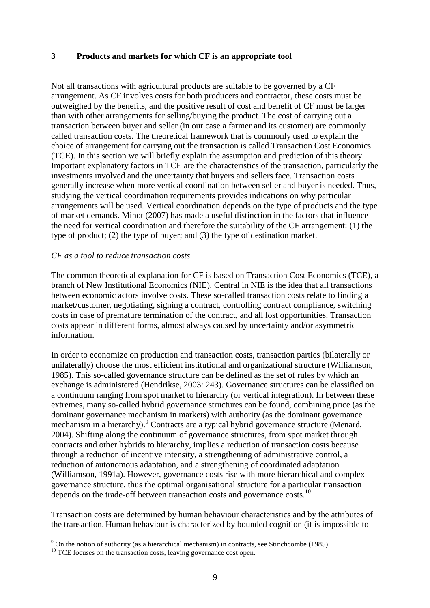#### **3 Products and markets for which CF is an appropriate tool**

Not all transactions with agricultural products are suitable to be governed by a CF arrangement. As CF involves costs for both producers and contractor, these costs must be outweighed by the benefits, and the positive result of cost and benefit of CF must be larger than with other arrangements for selling/buying the product. The cost of carrying out a transaction between buyer and seller (in our case a farmer and its customer) are commonly called transaction costs. The theoretical framework that is commonly used to explain the choice of arrangement for carrying out the transaction is called Transaction Cost Economics (TCE). In this section we will briefly explain the assumption and prediction of this theory. Important explanatory factors in TCE are the characteristics of the transaction, particularly the investments involved and the uncertainty that buyers and sellers face. Transaction costs generally increase when more vertical coordination between seller and buyer is needed. Thus, studying the vertical coordination requirements provides indications on why particular arrangements will be used. Vertical coordination depends on the type of products and the type of market demands. Minot (2007) has made a useful distinction in the factors that influence the need for vertical coordination and therefore the suitability of the CF arrangement: (1) the type of product; (2) the type of buyer; and (3) the type of destination market.

#### *CF as a tool to reduce transaction costs*

The common theoretical explanation for CF is based on Transaction Cost Economics (TCE), a branch of New Institutional Economics (NIE). Central in NIE is the idea that all transactions between economic actors involve costs. These so-called transaction costs relate to finding a market/customer, negotiating, signing a contract, controlling contract compliance, switching costs in case of premature termination of the contract, and all lost opportunities. Transaction costs appear in different forms, almost always caused by uncertainty and/or asymmetric information.

In order to economize on production and transaction costs, transaction parties (bilaterally or unilaterally) choose the most efficient institutional and organizational structure (Williamson, 1985). This so-called governance structure can be defined as the set of rules by which an exchange is administered (Hendrikse, 2003: 243). Governance structures can be classified on a continuum ranging from spot market to hierarchy (or vertical integration). In between these extremes, many so-called hybrid governance structures can be found, combining price (as the dominant governance mechanism in markets) with authority (as the dominant governance mechanism in a hierarchy).<sup>9</sup> Contracts are a typical hybrid governance structure (Menard, 2004). Shifting along the continuum of governance structures, from spot market through contracts and other hybrids to hierarchy, implies a reduction of transaction costs because through a reduction of incentive intensity, a strengthening of administrative control, a reduction of autonomous adaptation, and a strengthening of coordinated adaptation (Williamson, 1991a). However, governance costs rise with more hierarchical and complex governance structure, thus the optimal organisational structure for a particular transaction depends on the trade-off between transaction costs and governance costs.<sup>10</sup>

Transaction costs are determined by human behaviour characteristics and by the attributes of the transaction. Human behaviour is characterized by bounded cognition (it is impossible to

 $\overline{a}$ 

 $9^9$  On the notion of authority (as a hierarchical mechanism) in contracts, see Stinchcombe (1985).

<sup>&</sup>lt;sup>10</sup> TCE focuses on the transaction costs, leaving governance cost open.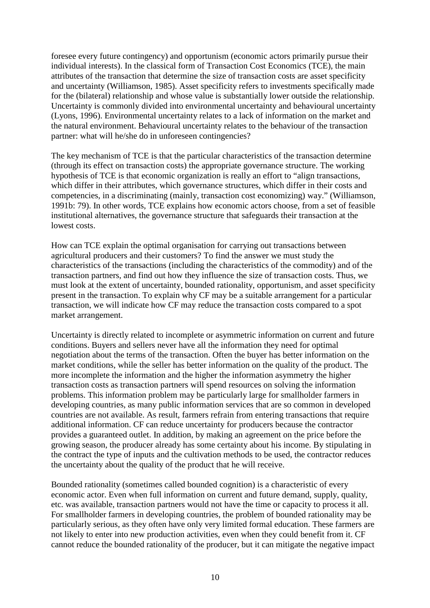foresee every future contingency) and opportunism (economic actors primarily pursue their individual interests). In the classical form of Transaction Cost Economics (TCE), the main attributes of the transaction that determine the size of transaction costs are asset specificity and uncertainty (Williamson, 1985). Asset specificity refers to investments specifically made for the (bilateral) relationship and whose value is substantially lower outside the relationship. Uncertainty is commonly divided into environmental uncertainty and behavioural uncertainty (Lyons, 1996). Environmental uncertainty relates to a lack of information on the market and the natural environment. Behavioural uncertainty relates to the behaviour of the transaction partner: what will he/she do in unforeseen contingencies?

The key mechanism of TCE is that the particular characteristics of the transaction determine (through its effect on transaction costs) the appropriate governance structure. The working hypothesis of TCE is that economic organization is really an effort to "align transactions, which differ in their attributes, which governance structures, which differ in their costs and competencies, in a discriminating (mainly, transaction cost economizing) way." (Williamson, 1991b: 79). In other words, TCE explains how economic actors choose, from a set of feasible institutional alternatives, the governance structure that safeguards their transaction at the lowest costs.

How can TCE explain the optimal organisation for carrying out transactions between agricultural producers and their customers? To find the answer we must study the characteristics of the transactions (including the characteristics of the commodity) and of the transaction partners, and find out how they influence the size of transaction costs. Thus, we must look at the extent of uncertainty, bounded rationality, opportunism, and asset specificity present in the transaction. To explain why CF may be a suitable arrangement for a particular transaction, we will indicate how CF may reduce the transaction costs compared to a spot market arrangement.

Uncertainty is directly related to incomplete or asymmetric information on current and future conditions. Buyers and sellers never have all the information they need for optimal negotiation about the terms of the transaction. Often the buyer has better information on the market conditions, while the seller has better information on the quality of the product. The more incomplete the information and the higher the information asymmetry the higher transaction costs as transaction partners will spend resources on solving the information problems. This information problem may be particularly large for smallholder farmers in developing countries, as many public information services that are so common in developed countries are not available. As result, farmers refrain from entering transactions that require additional information. CF can reduce uncertainty for producers because the contractor provides a guaranteed outlet. In addition, by making an agreement on the price before the growing season, the producer already has some certainty about his income. By stipulating in the contract the type of inputs and the cultivation methods to be used, the contractor reduces the uncertainty about the quality of the product that he will receive.

Bounded rationality (sometimes called bounded cognition) is a characteristic of every economic actor. Even when full information on current and future demand, supply, quality, etc. was available, transaction partners would not have the time or capacity to process it all. For smallholder farmers in developing countries, the problem of bounded rationality may be particularly serious, as they often have only very limited formal education. These farmers are not likely to enter into new production activities, even when they could benefit from it. CF cannot reduce the bounded rationality of the producer, but it can mitigate the negative impact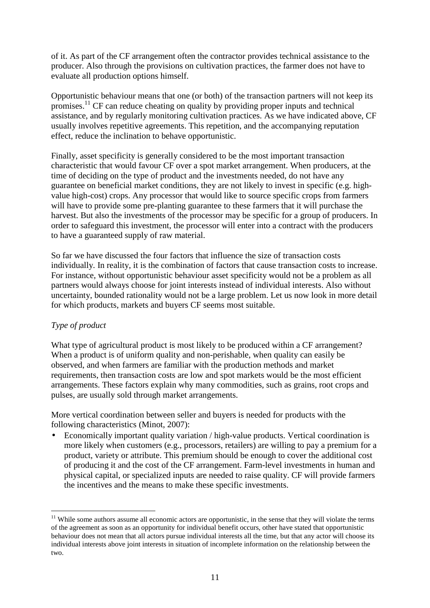of it. As part of the CF arrangement often the contractor provides technical assistance to the producer. Also through the provisions on cultivation practices, the farmer does not have to evaluate all production options himself.

Opportunistic behaviour means that one (or both) of the transaction partners will not keep its promises.<sup>11</sup> CF can reduce cheating on quality by providing proper inputs and technical assistance, and by regularly monitoring cultivation practices. As we have indicated above, CF usually involves repetitive agreements. This repetition, and the accompanying reputation effect, reduce the inclination to behave opportunistic.

Finally, asset specificity is generally considered to be the most important transaction characteristic that would favour CF over a spot market arrangement. When producers, at the time of deciding on the type of product and the investments needed, do not have any guarantee on beneficial market conditions, they are not likely to invest in specific (e.g. highvalue high-cost) crops. Any processor that would like to source specific crops from farmers will have to provide some pre-planting guarantee to these farmers that it will purchase the harvest. But also the investments of the processor may be specific for a group of producers. In order to safeguard this investment, the processor will enter into a contract with the producers to have a guaranteed supply of raw material.

So far we have discussed the four factors that influence the size of transaction costs individually. In reality, it is the combination of factors that cause transaction costs to increase. For instance, without opportunistic behaviour asset specificity would not be a problem as all partners would always choose for joint interests instead of individual interests. Also without uncertainty, bounded rationality would not be a large problem. Let us now look in more detail for which products, markets and buyers CF seems most suitable.

## *Type of product*

 $\overline{a}$ 

What type of agricultural product is most likely to be produced within a CF arrangement? When a product is of uniform quality and non-perishable, when quality can easily be observed, and when farmers are familiar with the production methods and market requirements, then transaction costs are low and spot markets would be the most efficient arrangements. These factors explain why many commodities, such as grains, root crops and pulses, are usually sold through market arrangements.

More vertical coordination between seller and buyers is needed for products with the following characteristics (Minot, 2007):

• Economically important quality variation / high-value products. Vertical coordination is more likely when customers (e.g., processors, retailers) are willing to pay a premium for a product, variety or attribute. This premium should be enough to cover the additional cost of producing it and the cost of the CF arrangement. Farm-level investments in human and physical capital, or specialized inputs are needed to raise quality. CF will provide farmers the incentives and the means to make these specific investments.

 $11$  While some authors assume all economic actors are opportunistic, in the sense that they will violate the terms of the agreement as soon as an opportunity for individual benefit occurs, other have stated that opportunistic behaviour does not mean that all actors pursue individual interests all the time, but that any actor will choose its individual interests above joint interests in situation of incomplete information on the relationship between the two.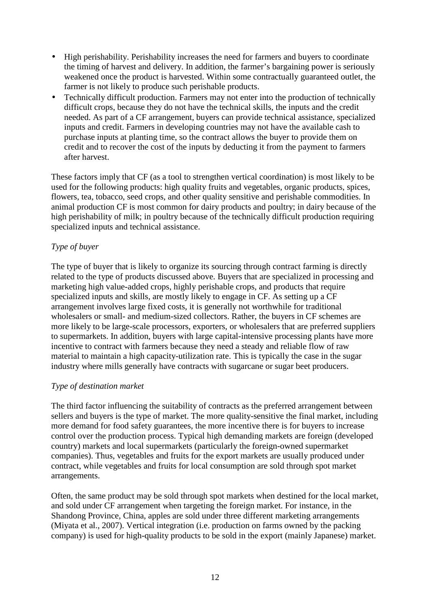- High perishability. Perishability increases the need for farmers and buyers to coordinate the timing of harvest and delivery. In addition, the farmer's bargaining power is seriously weakened once the product is harvested. Within some contractually guaranteed outlet, the farmer is not likely to produce such perishable products.
- Technically difficult production. Farmers may not enter into the production of technically difficult crops, because they do not have the technical skills, the inputs and the credit needed. As part of a CF arrangement, buyers can provide technical assistance, specialized inputs and credit. Farmers in developing countries may not have the available cash to purchase inputs at planting time, so the contract allows the buyer to provide them on credit and to recover the cost of the inputs by deducting it from the payment to farmers after harvest.

These factors imply that CF (as a tool to strengthen vertical coordination) is most likely to be used for the following products: high quality fruits and vegetables, organic products, spices, flowers, tea, tobacco, seed crops, and other quality sensitive and perishable commodities. In animal production CF is most common for dairy products and poultry; in dairy because of the high perishability of milk; in poultry because of the technically difficult production requiring specialized inputs and technical assistance.

## *Type of buyer*

The type of buyer that is likely to organize its sourcing through contract farming is directly related to the type of products discussed above. Buyers that are specialized in processing and marketing high value-added crops, highly perishable crops, and products that require specialized inputs and skills, are mostly likely to engage in CF. As setting up a CF arrangement involves large fixed costs, it is generally not worthwhile for traditional wholesalers or small- and medium-sized collectors. Rather, the buyers in CF schemes are more likely to be large-scale processors, exporters, or wholesalers that are preferred suppliers to supermarkets. In addition, buyers with large capital-intensive processing plants have more incentive to contract with farmers because they need a steady and reliable flow of raw material to maintain a high capacity-utilization rate. This is typically the case in the sugar industry where mills generally have contracts with sugarcane or sugar beet producers.

#### *Type of destination market*

The third factor influencing the suitability of contracts as the preferred arrangement between sellers and buyers is the type of market. The more quality-sensitive the final market, including more demand for food safety guarantees, the more incentive there is for buyers to increase control over the production process. Typical high demanding markets are foreign (developed country) markets and local supermarkets (particularly the foreign-owned supermarket companies). Thus, vegetables and fruits for the export markets are usually produced under contract, while vegetables and fruits for local consumption are sold through spot market arrangements.

Often, the same product may be sold through spot markets when destined for the local market, and sold under CF arrangement when targeting the foreign market. For instance, in the Shandong Province, China, apples are sold under three different marketing arrangements (Miyata et al., 2007). Vertical integration (i.e. production on farms owned by the packing company) is used for high-quality products to be sold in the export (mainly Japanese) market.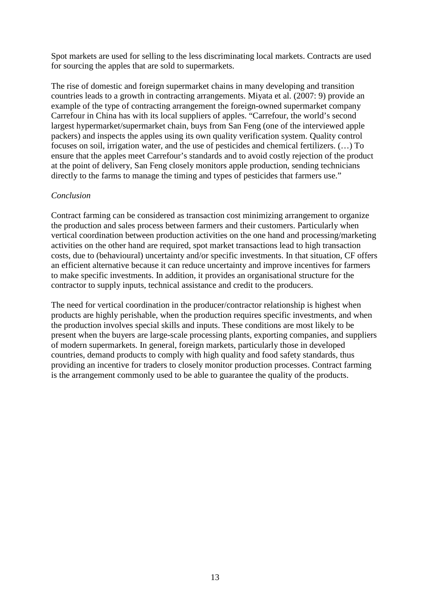Spot markets are used for selling to the less discriminating local markets. Contracts are used for sourcing the apples that are sold to supermarkets.

The rise of domestic and foreign supermarket chains in many developing and transition countries leads to a growth in contracting arrangements. Miyata et al. (2007: 9) provide an example of the type of contracting arrangement the foreign-owned supermarket company Carrefour in China has with its local suppliers of apples. "Carrefour, the world's second largest hypermarket/supermarket chain, buys from San Feng (one of the interviewed apple packers) and inspects the apples using its own quality verification system. Quality control focuses on soil, irrigation water, and the use of pesticides and chemical fertilizers. (…) To ensure that the apples meet Carrefour's standards and to avoid costly rejection of the product at the point of delivery, San Feng closely monitors apple production, sending technicians directly to the farms to manage the timing and types of pesticides that farmers use."

#### *Conclusion*

Contract farming can be considered as transaction cost minimizing arrangement to organize the production and sales process between farmers and their customers. Particularly when vertical coordination between production activities on the one hand and processing/marketing activities on the other hand are required, spot market transactions lead to high transaction costs, due to (behavioural) uncertainty and/or specific investments. In that situation, CF offers an efficient alternative because it can reduce uncertainty and improve incentives for farmers to make specific investments. In addition, it provides an organisational structure for the contractor to supply inputs, technical assistance and credit to the producers.

The need for vertical coordination in the producer/contractor relationship is highest when products are highly perishable, when the production requires specific investments, and when the production involves special skills and inputs. These conditions are most likely to be present when the buyers are large-scale processing plants, exporting companies, and suppliers of modern supermarkets. In general, foreign markets, particularly those in developed countries, demand products to comply with high quality and food safety standards, thus providing an incentive for traders to closely monitor production processes. Contract farming is the arrangement commonly used to be able to guarantee the quality of the products.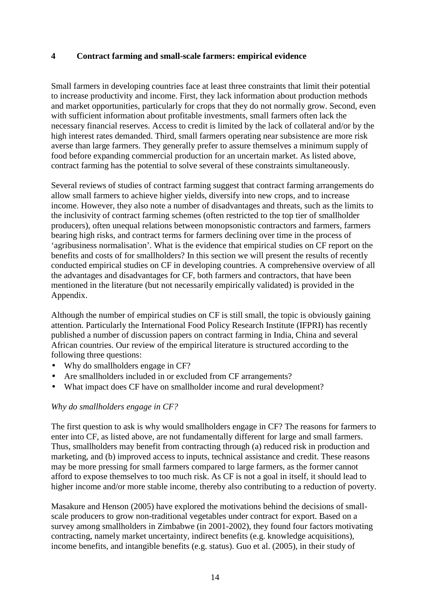#### **4 Contract farming and small-scale farmers: empirical evidence**

Small farmers in developing countries face at least three constraints that limit their potential to increase productivity and income. First, they lack information about production methods and market opportunities, particularly for crops that they do not normally grow. Second, even with sufficient information about profitable investments, small farmers often lack the necessary financial reserves. Access to credit is limited by the lack of collateral and/or by the high interest rates demanded. Third, small farmers operating near subsistence are more risk averse than large farmers. They generally prefer to assure themselves a minimum supply of food before expanding commercial production for an uncertain market. As listed above, contract farming has the potential to solve several of these constraints simultaneously.

Several reviews of studies of contract farming suggest that contract farming arrangements do allow small farmers to achieve higher yields, diversify into new crops, and to increase income. However, they also note a number of disadvantages and threats, such as the limits to the inclusivity of contract farming schemes (often restricted to the top tier of smallholder producers), often unequal relations between monopsonistic contractors and farmers, farmers bearing high risks, and contract terms for farmers declining over time in the process of 'agribusiness normalisation'. What is the evidence that empirical studies on CF report on the benefits and costs of for smallholders? In this section we will present the results of recently conducted empirical studies on CF in developing countries. A comprehensive overview of all the advantages and disadvantages for CF, both farmers and contractors, that have been mentioned in the literature (but not necessarily empirically validated) is provided in the Appendix.

Although the number of empirical studies on CF is still small, the topic is obviously gaining attention. Particularly the International Food Policy Research Institute (IFPRI) has recently published a number of discussion papers on contract farming in India, China and several African countries. Our review of the empirical literature is structured according to the following three questions:

- Why do smallholders engage in CF?
- Are smallholders included in or excluded from CF arrangements?
- What impact does CF have on smallholder income and rural development?

#### *Why do smallholders engage in CF?*

The first question to ask is why would smallholders engage in CF? The reasons for farmers to enter into CF, as listed above, are not fundamentally different for large and small farmers. Thus, smallholders may benefit from contracting through (a) reduced risk in production and marketing, and (b) improved access to inputs, technical assistance and credit. These reasons may be more pressing for small farmers compared to large farmers, as the former cannot afford to expose themselves to too much risk. As CF is not a goal in itself, it should lead to higher income and/or more stable income, thereby also contributing to a reduction of poverty.

Masakure and Henson (2005) have explored the motivations behind the decisions of smallscale producers to grow non-traditional vegetables under contract for export. Based on a survey among smallholders in Zimbabwe (in 2001-2002), they found four factors motivating contracting, namely market uncertainty, indirect benefits (e.g. knowledge acquisitions), income benefits, and intangible benefits (e.g. status). Guo et al. (2005), in their study of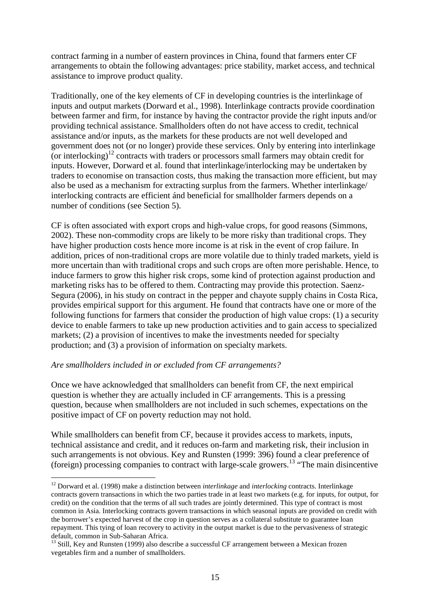contract farming in a number of eastern provinces in China, found that farmers enter CF arrangements to obtain the following advantages: price stability, market access, and technical assistance to improve product quality.

Traditionally, one of the key elements of CF in developing countries is the interlinkage of inputs and output markets (Dorward et al., 1998). Interlinkage contracts provide coordination between farmer and firm, for instance by having the contractor provide the right inputs and/or providing technical assistance. Smallholders often do not have access to credit, technical assistance and/or inputs, as the markets for these products are not well developed and government does not (or no longer) provide these services. Only by entering into interlinkage (or interlocking)<sup>12</sup> contracts with traders or processors small farmers may obtain credit for inputs. However, Dorward et al. found that interlinkage/interlocking may be undertaken by traders to economise on transaction costs, thus making the transaction more efficient, but may also be used as a mechanism for extracting surplus from the farmers. Whether interlinkage/ interlocking contracts are efficient ánd beneficial for smallholder farmers depends on a number of conditions (see Section 5).

CF is often associated with export crops and high-value crops, for good reasons (Simmons, 2002). These non-commodity crops are likely to be more risky than traditional crops. They have higher production costs hence more income is at risk in the event of crop failure. In addition, prices of non-traditional crops are more volatile due to thinly traded markets, yield is more uncertain than with traditional crops and such crops are often more perishable. Hence, to induce farmers to grow this higher risk crops, some kind of protection against production and marketing risks has to be offered to them. Contracting may provide this protection. Saenz-Segura (2006), in his study on contract in the pepper and chayote supply chains in Costa Rica, provides empirical support for this argument. He found that contracts have one or more of the following functions for farmers that consider the production of high value crops: (1) a security device to enable farmers to take up new production activities and to gain access to specialized markets; (2) a provision of incentives to make the investments needed for specialty production; and (3) a provision of information on specialty markets.

#### *Are smallholders included in or excluded from CF arrangements?*

 $\overline{a}$ 

Once we have acknowledged that smallholders can benefit from CF, the next empirical question is whether they are actually included in CF arrangements. This is a pressing question, because when smallholders are not included in such schemes, expectations on the positive impact of CF on poverty reduction may not hold.

While smallholders can benefit from CF, because it provides access to markets, inputs, technical assistance and credit, and it reduces on-farm and marketing risk, their inclusion in such arrangements is not obvious. Key and Runsten (1999: 396) found a clear preference of (foreign) processing companies to contract with large-scale growers.<sup>13</sup> "The main disincentive

<sup>12</sup> Dorward et al. (1998) make a distinction between *interlinkage* and *interlocking* contracts. Interlinkage contracts govern transactions in which the two parties trade in at least two markets (e.g. for inputs, for output, for credit) on the condition that the terms of all such trades are jointly determined. This type of contract is most common in Asia. Interlocking contracts govern transactions in which seasonal inputs are provided on credit with the borrower's expected harvest of the crop in question serves as a collateral substitute to guarantee loan repayment. This tying of loan recovery to activity in the output market is due to the pervasiveness of strategic default, common in Sub-Saharan Africa.

<sup>&</sup>lt;sup>13</sup> Still, Key and Runsten (1999) also describe a successful CF arrangement between a Mexican frozen vegetables firm and a number of smallholders.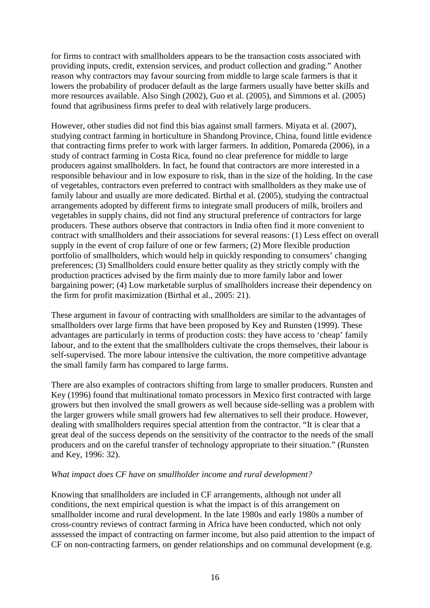for firms to contract with smallholders appears to be the transaction costs associated with providing inputs, credit, extension services, and product collection and grading." Another reason why contractors may favour sourcing from middle to large scale farmers is that it lowers the probability of producer default as the large farmers usually have better skills and more resources available. Also Singh (2002), Guo et al. (2005), and Simmons et al. (2005) found that agribusiness firms prefer to deal with relatively large producers.

However, other studies did not find this bias against small farmers. Miyata et al. (2007), studying contract farming in horticulture in Shandong Province, China, found little evidence that contracting firms prefer to work with larger farmers. In addition, Pomareda (2006), in a study of contract farming in Costa Rica, found no clear preference for middle to large producers against smallholders. In fact, he found that contractors are more interested in a responsible behaviour and in low exposure to risk, than in the size of the holding. In the case of vegetables, contractors even preferred to contract with smallholders as they make use of family labour and usually are more dedicated. Birthal et al. (2005), studying the contractual arrangements adopted by different firms to integrate small producers of milk, broilers and vegetables in supply chains, did not find any structural preference of contractors for large producers. These authors observe that contractors in India often find it more convenient to contract with smallholders and their associations for several reasons: (1) Less effect on overall supply in the event of crop failure of one or few farmers; (2) More flexible production portfolio of smallholders, which would help in quickly responding to consumers' changing preferences; (3) Smallholders could ensure better quality as they strictly comply with the production practices advised by the firm mainly due to more family labor and lower bargaining power; (4) Low marketable surplus of smallholders increase their dependency on the firm for profit maximization (Birthal et al., 2005: 21).

These argument in favour of contracting with smallholders are similar to the advantages of smallholders over large firms that have been proposed by Key and Runsten (1999). These advantages are particularly in terms of production costs: they have access to 'cheap' family labour, and to the extent that the smallholders cultivate the crops themselves, their labour is self-supervised. The more labour intensive the cultivation, the more competitive advantage the small family farm has compared to large farms.

There are also examples of contractors shifting from large to smaller producers. Runsten and Key (1996) found that multinational tomato processors in Mexico first contracted with large growers but then involved the small growers as well because side-selling was a problem with the larger growers while small growers had few alternatives to sell their produce. However, dealing with smallholders requires special attention from the contractor. "It is clear that a great deal of the success depends on the sensitivity of the contractor to the needs of the small producers and on the careful transfer of technology appropriate to their situation." (Runsten and Key, 1996: 32).

#### *What impact does CF have on smallholder income and rural development?*

Knowing that smallholders are included in CF arrangements, although not under all conditions, the next empirical question is what the impact is of this arrangement on smallholder income and rural development. In the late 1980s and early 1980s a number of cross-country reviews of contract farming in Africa have been conducted, which not only asssessed the impact of contracting on farmer income, but also paid attention to the impact of CF on non-contracting farmers, on gender relationships and on communal development (e.g.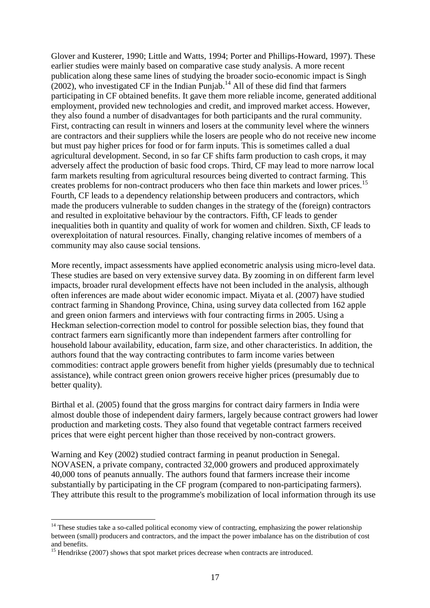Glover and Kusterer, 1990; Little and Watts, 1994; Porter and Phillips-Howard, 1997). These earlier studies were mainly based on comparative case study analysis. A more recent publication along these same lines of studying the broader socio-economic impact is Singh  $(2002)$ , who investigated CF in the Indian Punjab.<sup>14</sup> All of these did find that farmers participating in CF obtained benefits. It gave them more reliable income, generated additional employment, provided new technologies and credit, and improved market access. However, they also found a number of disadvantages for both participants and the rural community. First, contracting can result in winners and losers at the community level where the winners are contractors and their suppliers while the losers are people who do not receive new income but must pay higher prices for food or for farm inputs. This is sometimes called a dual agricultural development. Second, in so far CF shifts farm production to cash crops, it may adversely affect the production of basic food crops. Third, CF may lead to more narrow local farm markets resulting from agricultural resources being diverted to contract farming. This creates problems for non-contract producers who then face thin markets and lower prices.<sup>15</sup> Fourth, CF leads to a dependency relationship between producers and contractors, which made the producers vulnerable to sudden changes in the strategy of the (foreign) contractors and resulted in exploitative behaviour by the contractors. Fifth, CF leads to gender inequalities both in quantity and quality of work for women and children. Sixth, CF leads to overexploitation of natural resources. Finally, changing relative incomes of members of a community may also cause social tensions.

More recently, impact assessments have applied econometric analysis using micro-level data. These studies are based on very extensive survey data. By zooming in on different farm level impacts, broader rural development effects have not been included in the analysis, although often inferences are made about wider economic impact. Miyata et al. (2007) have studied contract farming in Shandong Province, China, using survey data collected from 162 apple and green onion farmers and interviews with four contracting firms in 2005. Using a Heckman selection-correction model to control for possible selection bias, they found that contract farmers earn significantly more than independent farmers after controlling for household labour availability, education, farm size, and other characteristics. In addition, the authors found that the way contracting contributes to farm income varies between commodities: contract apple growers benefit from higher yields (presumably due to technical assistance), while contract green onion growers receive higher prices (presumably due to better quality).

Birthal et al. (2005) found that the gross margins for contract dairy farmers in India were almost double those of independent dairy farmers, largely because contract growers had lower production and marketing costs. They also found that vegetable contract farmers received prices that were eight percent higher than those received by non-contract growers.

Warning and Key (2002) studied contract farming in peanut production in Senegal. NOVASEN, a private company, contracted 32,000 growers and produced approximately 40,000 tons of peanuts annually. The authors found that farmers increase their income substantially by participating in the CF program (compared to non-participating farmers). They attribute this result to the programme's mobilization of local information through its use

 $\overline{a}$ 

 $14$  These studies take a so-called political economy view of contracting, emphasizing the power relationship between (small) producers and contractors, and the impact the power imbalance has on the distribution of cost and benefits.

<sup>&</sup>lt;sup>15</sup> Hendrikse (2007) shows that spot market prices decrease when contracts are introduced.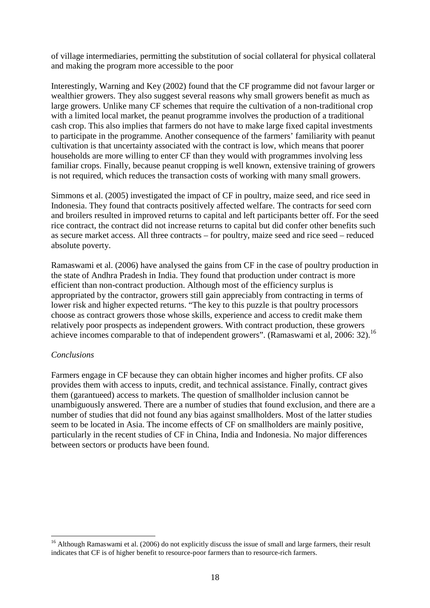of village intermediaries, permitting the substitution of social collateral for physical collateral and making the program more accessible to the poor

Interestingly, Warning and Key (2002) found that the CF programme did not favour larger or wealthier growers. They also suggest several reasons why small growers benefit as much as large growers. Unlike many CF schemes that require the cultivation of a non-traditional crop with a limited local market, the peanut programme involves the production of a traditional cash crop. This also implies that farmers do not have to make large fixed capital investments to participate in the programme. Another consequence of the farmers' familiarity with peanut cultivation is that uncertainty associated with the contract is low, which means that poorer households are more willing to enter CF than they would with programmes involving less familiar crops. Finally, because peanut cropping is well known, extensive training of growers is not required, which reduces the transaction costs of working with many small growers.

Simmons et al. (2005) investigated the impact of CF in poultry, maize seed, and rice seed in Indonesia. They found that contracts positively affected welfare. The contracts for seed corn and broilers resulted in improved returns to capital and left participants better off. For the seed rice contract, the contract did not increase returns to capital but did confer other benefits such as secure market access. All three contracts – for poultry, maize seed and rice seed – reduced absolute poverty.

Ramaswami et al. (2006) have analysed the gains from CF in the case of poultry production in the state of Andhra Pradesh in India. They found that production under contract is more efficient than non-contract production. Although most of the efficiency surplus is appropriated by the contractor, growers still gain appreciably from contracting in terms of lower risk and higher expected returns. "The key to this puzzle is that poultry processors choose as contract growers those whose skills, experience and access to credit make them relatively poor prospects as independent growers. With contract production, these growers achieve incomes comparable to that of independent growers". (Ramaswami et al, 2006: 32).<sup>16</sup>

#### *Conclusions*

 $\overline{a}$ 

Farmers engage in CF because they can obtain higher incomes and higher profits. CF also provides them with access to inputs, credit, and technical assistance. Finally, contract gives them (garantueed) access to markets. The question of smallholder inclusion cannot be unambiguously answered. There are a number of studies that found exclusion, and there are a number of studies that did not found any bias against smallholders. Most of the latter studies seem to be located in Asia. The income effects of CF on smallholders are mainly positive, particularly in the recent studies of CF in China, India and Indonesia. No major differences between sectors or products have been found.

<sup>&</sup>lt;sup>16</sup> Although Ramaswami et al. (2006) do not explicitly discuss the issue of small and large farmers, their result indicates that CF is of higher benefit to resource-poor farmers than to resource-rich farmers.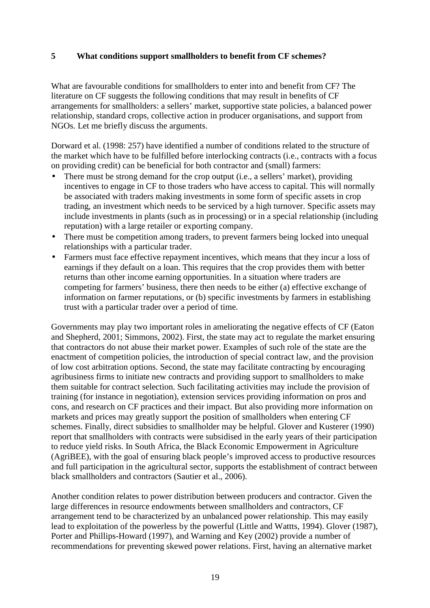## **5 What conditions support smallholders to benefit from CF schemes?**

What are favourable conditions for smallholders to enter into and benefit from CF? The literature on CF suggests the following conditions that may result in benefits of CF arrangements for smallholders: a sellers' market, supportive state policies, a balanced power relationship, standard crops, collective action in producer organisations, and support from NGOs. Let me briefly discuss the arguments.

Dorward et al. (1998: 257) have identified a number of conditions related to the structure of the market which have to be fulfilled before interlocking contracts (i.e., contracts with a focus on providing credit) can be beneficial for both contractor and (small) farmers:

- There must be strong demand for the crop output (i.e., a sellers' market), providing incentives to engage in CF to those traders who have access to capital. This will normally be associated with traders making investments in some form of specific assets in crop trading, an investment which needs to be serviced by a high turnover. Specific assets may include investments in plants (such as in processing) or in a special relationship (including reputation) with a large retailer or exporting company.
- There must be competition among traders, to prevent farmers being locked into unequal relationships with a particular trader.
- Farmers must face effective repayment incentives, which means that they incur a loss of earnings if they default on a loan. This requires that the crop provides them with better returns than other income earning opportunities. In a situation where traders are competing for farmers' business, there then needs to be either (a) effective exchange of information on farmer reputations, or (b) specific investments by farmers in establishing trust with a particular trader over a period of time.

Governments may play two important roles in ameliorating the negative effects of CF (Eaton and Shepherd, 2001; Simmons, 2002). First, the state may act to regulate the market ensuring that contractors do not abuse their market power. Examples of such role of the state are the enactment of competition policies, the introduction of special contract law, and the provision of low cost arbitration options. Second, the state may facilitate contracting by encouraging agribusiness firms to initiate new contracts and providing support to smallholders to make them suitable for contract selection. Such facilitating activities may include the provision of training (for instance in negotiation), extension services providing information on pros and cons, and research on CF practices and their impact. But also providing more information on markets and prices may greatly support the position of smallholders when entering CF schemes. Finally, direct subsidies to smallholder may be helpful. Glover and Kusterer (1990) report that smallholders with contracts were subsidised in the early years of their participation to reduce yield risks. In South Africa, the Black Economic Empowerment in Agriculture (AgriBEE), with the goal of ensuring black people's improved access to productive resources and full participation in the agricultural sector, supports the establishment of contract between black smallholders and contractors (Sautier et al., 2006).

Another condition relates to power distribution between producers and contractor. Given the large differences in resource endowments between smallholders and contractors, CF arrangement tend to be characterized by an unbalanced power relationship. This may easily lead to exploitation of the powerless by the powerful (Little and Wattts, 1994). Glover (1987), Porter and Phillips-Howard (1997), and Warning and Key (2002) provide a number of recommendations for preventing skewed power relations. First, having an alternative market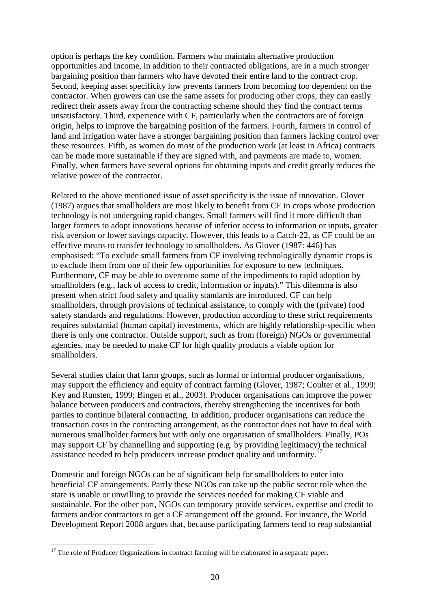option is perhaps the key condition. Farmers who maintain alternative production opportunities and income, in addition to their contracted obligations, are in a much stronger bargaining position than farmers who have devoted their entire land to the contract crop. Second, keeping asset specificity low prevents farmers from becoming too dependent on the contractor. When growers can use the same assets for producing other crops, they can easily redirect their assets away from the contracting scheme should they find the contract terms unsatisfactory. Third, experience with CF, particularly when the contractors are of foreign origin, helps to improve the bargaining position of the farmers. Fourth, farmers in control of land and irrigation water have a stronger bargaining position than farmers lacking control over these resources. Fifth, as women do most of the production work (at least in Africa) contracts can be made more sustainable if they are signed with, and payments are made to, women. Finally, when farmers have several options for obtaining inputs and credit greatly reduces the relative power of the contractor.

Related to the above mentioned issue of asset specificity is the issue of innovation. Glover (1987) argues that smallholders are most likely to benefit from CF in crops whose production technology is not undergoing rapid changes. Small farmers will find it more difficult than larger farmers to adopt innovations because of inferior access to information or inputs, greater risk aversion or lower savings capacity. However, this leads to a Catch-22, as CF could be an effective means to transfer technology to smallholders. As Glover (1987: 446) has emphasised: "To exclude small farmers from CF involving technologically dynamic crops is to exclude them from one of their few opportunities for exposure to new techniques. Furthermore, CF may be able to overcome some of the impediments to rapid adoption by smallholders (e.g., lack of access to credit, information or inputs)." This dilemma is also present when strict food safety and quality standards are introduced. CF can help smallholders, through provisions of technical assistance, to comply with the (private) food safety standards and regulations. However, production according to these strict requirements requires substantial (human capital) investments, which are highly relationship-specific when there is only one contractor. Outside support, such as from (foreign) NGOs or governmental agencies, may be needed to make CF for high quality products a viable option for smallholders.

Several studies claim that farm groups, such as formal or informal producer organisations, may support the efficiency and equity of contract farming (Glover, 1987; Coulter et al., 1999; Key and Runsten, 1999; Bingen et al., 2003). Producer organisations can improve the power balance between producers and contractors, thereby strengthening the incentives for both parties to continue bilateral contracting. In addition, producer organisations can reduce the transaction costs in the contracting arrangement, as the contractor does not have to deal with numerous smallholder farmers but with only one organisation of smallholders. Finally, POs may support CF by channelling and supporting (e.g. by providing legitimacy) the technical assistance needed to help producers increase product quality and uniformity.<sup>17</sup>

Domestic and foreign NGOs can be of significant help for smallholders to enter into beneficial CF arrangements. Partly these NGOs can take up the public sector role when the state is unable or unwilling to provide the services needed for making CF viable and sustainable. For the other part, NGOs can temporary provide services, expertise and credit to farmers and/or contractors to get a CF arrangement off the ground. For instance, the World Development Report 2008 argues that, because participating farmers tend to reap substantial

 $\overline{a}$ 

 $17$  The role of Producer Organizations in contract farming will be elaborated in a separate paper.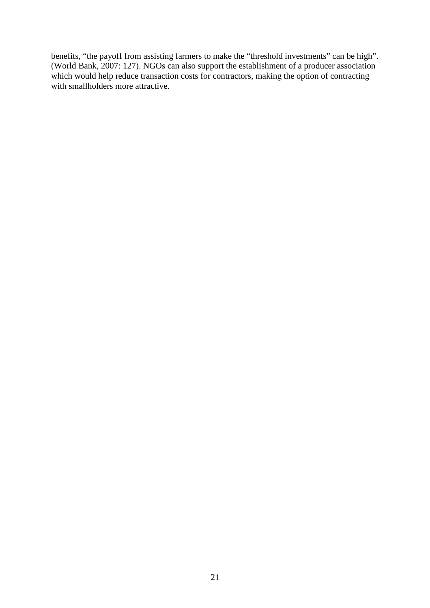benefits, "the payoff from assisting farmers to make the "threshold investments" can be high". (World Bank, 2007: 127). NGOs can also support the establishment of a producer association which would help reduce transaction costs for contractors, making the option of contracting with smallholders more attractive.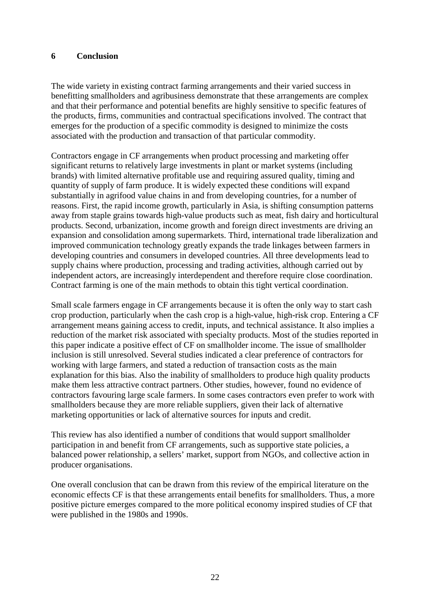#### **6 Conclusion**

The wide variety in existing contract farming arrangements and their varied success in benefitting smallholders and agribusiness demonstrate that these arrangements are complex and that their performance and potential benefits are highly sensitive to specific features of the products, firms, communities and contractual specifications involved. The contract that emerges for the production of a specific commodity is designed to minimize the costs associated with the production and transaction of that particular commodity.

Contractors engage in CF arrangements when product processing and marketing offer significant returns to relatively large investments in plant or market systems (including brands) with limited alternative profitable use and requiring assured quality, timing and quantity of supply of farm produce. It is widely expected these conditions will expand substantially in agrifood value chains in and from developing countries, for a number of reasons. First, the rapid income growth, particularly in Asia, is shifting consumption patterns away from staple grains towards high-value products such as meat, fish dairy and horticultural products. Second, urbanization, income growth and foreign direct investments are driving an expansion and consolidation among supermarkets. Third, international trade liberalization and improved communication technology greatly expands the trade linkages between farmers in developing countries and consumers in developed countries. All three developments lead to supply chains where production, processing and trading activities, although carried out by independent actors, are increasingly interdependent and therefore require close coordination. Contract farming is one of the main methods to obtain this tight vertical coordination.

Small scale farmers engage in CF arrangements because it is often the only way to start cash crop production, particularly when the cash crop is a high-value, high-risk crop. Entering a CF arrangement means gaining access to credit, inputs, and technical assistance. It also implies a reduction of the market risk associated with specialty products. Most of the studies reported in this paper indicate a positive effect of CF on smallholder income. The issue of smallholder inclusion is still unresolved. Several studies indicated a clear preference of contractors for working with large farmers, and stated a reduction of transaction costs as the main explanation for this bias. Also the inability of smallholders to produce high quality products make them less attractive contract partners. Other studies, however, found no evidence of contractors favouring large scale farmers. In some cases contractors even prefer to work with smallholders because they are more reliable suppliers, given their lack of alternative marketing opportunities or lack of alternative sources for inputs and credit.

This review has also identified a number of conditions that would support smallholder participation in and benefit from CF arrangements, such as supportive state policies, a balanced power relationship, a sellers' market, support from NGOs, and collective action in producer organisations.

One overall conclusion that can be drawn from this review of the empirical literature on the economic effects CF is that these arrangements entail benefits for smallholders. Thus, a more positive picture emerges compared to the more political economy inspired studies of CF that were published in the 1980s and 1990s.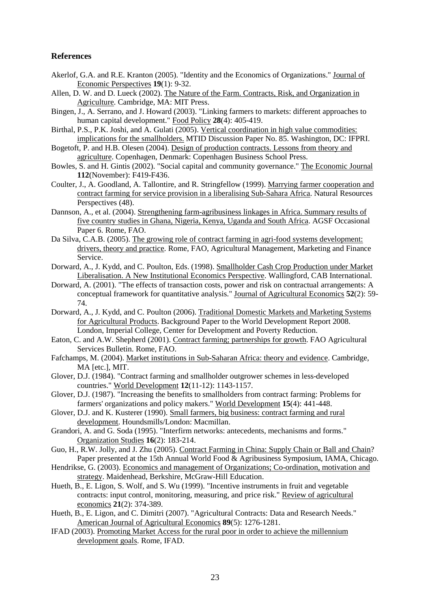#### **References**

- Akerlof, G.A. and R.E. Kranton (2005). "Identity and the Economics of Organizations." Journal of Economic Perspectives **19**(1): 9-32.
- Allen, D. W. and D. Lueck (2002). The Nature of the Farm. Contracts, Risk, and Organization in Agriculture. Cambridge, MA: MIT Press.
- Bingen, J., A. Serrano, and J. Howard (2003). "Linking farmers to markets: different approaches to human capital development." Food Policy **28**(4): 405-419.
- Birthal, P.S., P.K. Joshi, and A. Gulati (2005). Vertical coordination in high value commodities: implications for the smallholders. MTID Discussion Paper No. 85. Washington, DC: IFPRI.
- Bogetoft, P. and H.B. Olesen (2004). Design of production contracts. Lessons from theory and agriculture. Copenhagen, Denmark: Copenhagen Business School Press.
- Bowles, S. and H. Gintis (2002). "Social capital and community governance." The Economic Journal **112**(November): F419-F436.
- Coulter, J., A. Goodland, A. Tallontire, and R. Stringfellow (1999). Marrying farmer cooperation and contract farming for service provision in a liberalising Sub-Sahara Africa. Natural Resources Perspectives (48).
- Dannson, A., et al. (2004). Strengthening farm-agribusiness linkages in Africa. Summary results of five country studies in Ghana, Nigeria, Kenya, Uganda and South Africa. AGSF Occasional Paper 6. Rome, FAO.
- Da Silva, C.A.B. (2005). The growing role of contract farming in agri-food systems development: drivers, theory and practice. Rome, FAO, Agricultural Management, Marketing and Finance Service.
- Dorward, A., J. Kydd, and C. Poulton, Eds. (1998). Smallholder Cash Crop Production under Market Liberalisation. A New Institutional Economics Perspective. Wallingford, CAB International.
- Dorward, A. (2001). "The effects of transaction costs, power and risk on contractual arrangements: A conceptual framework for quantitative analysis." Journal of Agricultural Economics **52**(2): 59- 74.
- Dorward, A., J. Kydd, and C. Poulton (2006). Traditional Domestic Markets and Marketing Systems for Agricultural Products. Background Paper to the World Development Report 2008. London, Imperial College, Center for Development and Poverty Reduction.
- Eaton, C. and A.W. Shepherd (2001). Contract farming; partnerships for growth. FAO Agricultural Services Bulletin. Rome, FAO.
- Fafchamps, M. (2004). Market institutions in Sub-Saharan Africa: theory and evidence. Cambridge, MA [etc.], MIT.
- Glover, D.J. (1984). "Contract farming and smallholder outgrower schemes in less-developed countries." World Development **12**(11-12): 1143-1157.
- Glover, D.J. (1987). "Increasing the benefits to smallholders from contract farming: Problems for farmers' organizations and policy makers." World Development **15**(4): 441-448.
- Glover, D.J. and K. Kusterer (1990). Small farmers, big business: contract farming and rural development. Houndsmills/London: Macmillan.
- Grandori, A. and G. Soda (1995). "Interfirm networks: antecedents, mechanisms and forms." Organization Studies **16**(2): 183-214.
- Guo, H., R.W. Jolly, and J. Zhu (2005). Contract Farming in China: Supply Chain or Ball and Chain? Paper presented at the 15th Annual World Food & Agribusiness Symposium, IAMA, Chicago.
- Hendrikse, G. (2003). Economics and management of Organizations; Co-ordination, motivation and strategy. Maidenhead, Berkshire, McGraw-Hill Education.
- Hueth, B., E. Ligon, S. Wolf, and S. Wu (1999). "Incentive instruments in fruit and vegetable contracts: input control, monitoring, measuring, and price risk." Review of agricultural economics **21**(2): 374-389.
- Hueth, B., E. Ligon, and C. Dimitri (2007). "Agricultural Contracts: Data and Research Needs." American Journal of Agricultural Economics **89**(5): 1276-1281.
- IFAD (2003). Promoting Market Access for the rural poor in order to achieve the millennium development goals. Rome, IFAD.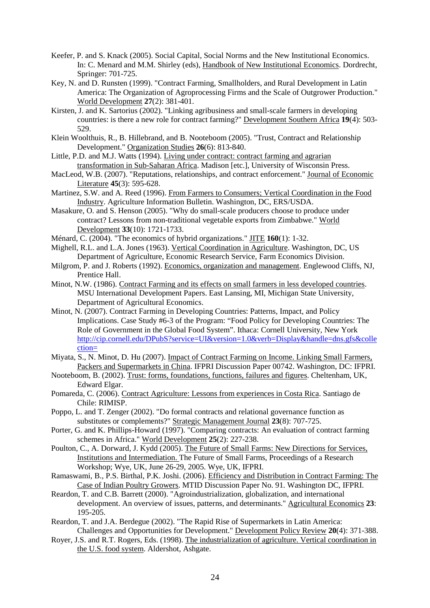- Keefer, P. and S. Knack (2005). Social Capital, Social Norms and the New Institutional Economics. In: C. Menard and M.M. Shirley (eds), Handbook of New Institutional Economics. Dordrecht, Springer: 701-725.
- Key, N. and D. Runsten (1999). "Contract Farming, Smallholders, and Rural Development in Latin America: The Organization of Agroprocessing Firms and the Scale of Outgrower Production." World Development **27**(2): 381-401.
- Kirsten, J. and K. Sartorius (2002). "Linking agribusiness and small-scale farmers in developing countries: is there a new role for contract farming?" Development Southern Africa **19**(4): 503- 529.
- Klein Woolthuis, R., B. Hillebrand, and B. Nooteboom (2005). "Trust, Contract and Relationship Development." Organization Studies **26**(6): 813-840.
- Little, P.D. and M.J. Watts (1994). Living under contract: contract farming and agrarian transformation in Sub-Saharan Africa. Madison [etc.], University of Wisconsin Press.
- MacLeod, W.B. (2007). "Reputations, relationships, and contract enforcement." Journal of Economic Literature **45**(3): 595-628.
- Martinez, S.W. and A. Reed (1996). From Farmers to Consumers; Vertical Coordination in the Food Industry. Agriculture Information Bulletin. Washington, DC, ERS/USDA.
- Masakure, O. and S. Henson (2005). "Why do small-scale producers choose to produce under contract? Lessons from non-traditional vegetable exports from Zimbabwe." World Development **33**(10): 1721-1733.
- Ménard, C. (2004). "The economics of hybrid organizations." JITE **160**(1): 1-32.
- Mighell, R.L. and L.A. Jones (1963). Vertical Coordination in Agriculture. Washington, DC, US Department of Agriculture, Economic Research Service, Farm Economics Division.
- Milgrom, P. and J. Roberts (1992). Economics, organization and management. Englewood Cliffs, NJ, Prentice Hall.
- Minot, N.W. (1986). Contract Farming and its effects on small farmers in less developed countries. MSU International Development Papers. East Lansing, MI, Michigan State University, Department of Agricultural Economics.
- Minot, N. (2007). Contract Farming in Developing Countries: Patterns, Impact, and Policy Implications. Case Study #6-3 of the Program: "Food Policy for Developing Countries: The Role of Government in the Global Food System". Ithaca: Cornell University, New York http://cip.cornell.edu/DPubS?service=UI&version=1.0&verb=Display&handle=dns.gfs&colle ction=
- Miyata, S., N. Minot, D. Hu (2007). Impact of Contract Farming on Income. Linking Small Farmers, Packers and Supermarkets in China. IFPRI Discussion Paper 00742. Washington, DC: IFPRI.
- Nooteboom, B. (2002). Trust: forms, foundations, functions, failures and figures. Cheltenham, UK, Edward Elgar.
- Pomareda, C. (2006). Contract Agriculture: Lessons from experiences in Costa Rica. Santiago de Chile: RIMISP.
- Poppo, L. and T. Zenger (2002). "Do formal contracts and relational governance function as substitutes or complements?" Strategic Management Journal **23**(8): 707-725.
- Porter, G. and K. Phillips-Howard (1997). "Comparing contracts: An evaluation of contract farming schemes in Africa." World Development **25**(2): 227-238.
- Poulton, C., A. Dorward, J. Kydd (2005). The Future of Small Farms: New Directions for Services, Institutions and Intermediation. The Future of Small Farms, Proceedings of a Research Workshop; Wye, UK, June 26-29, 2005. Wye, UK, IFPRI.
- Ramaswami, B., P.S. Birthal, P.K. Joshi. (2006). Efficiency and Distribution in Contract Farming: The Case of Indian Poultry Growers. MTID Discussion Paper No. 91. Washington DC, IFPRI.
- Reardon, T. and C.B. Barrett (2000). "Agroindustrialization, globalization, and international development. An overview of issues, patterns, and determinants." Agricultural Economics **23**: 195-205.
- Reardon, T. and J.A. Berdegue (2002). "The Rapid Rise of Supermarkets in Latin America: Challenges and Opportunities for Development." Development Policy Review **20**(4): 371-388.
- Royer, J.S. and R.T. Rogers, Eds. (1998). The industrialization of agriculture. Vertical coordination in the U.S. food system. Aldershot, Ashgate.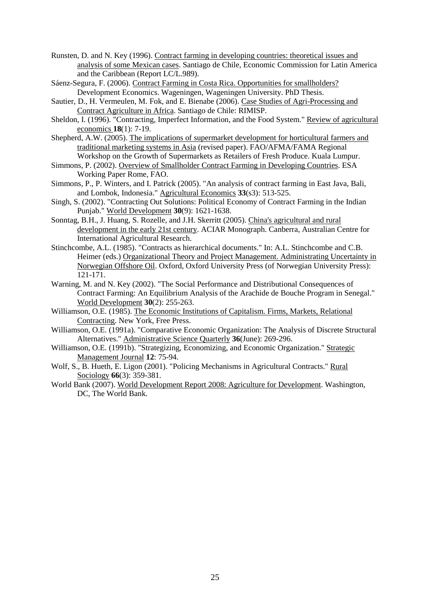- Runsten, D. and N. Key (1996). Contract farming in developing countries: theoretical issues and analysis of some Mexican cases. Santiago de Chile, Economic Commission for Latin America and the Caribbean (Report LC/L.989).
- Sáenz-Segura, F. (2006). Contract Farming in Costa Rica. Opportunities for smallholders? Development Economics. Wageningen, Wageningen University. PhD Thesis.
- Sautier, D., H. Vermeulen, M. Fok, and E. Bienabe (2006). Case Studies of Agri-Processing and Contract Agriculture in Africa. Santiago de Chile: RIMISP.
- Sheldon, I. (1996). "Contracting, Imperfect Information, and the Food System." Review of agricultural economics **18**(1): 7-19.
- Shepherd, A.W. (2005). The implications of supermarket development for horticultural farmers and traditional marketing systems in Asia (revised paper). FAO/AFMA/FAMA Regional Workshop on the Growth of Supermarkets as Retailers of Fresh Produce. Kuala Lumpur.
- Simmons, P. (2002). Overview of Smallholder Contract Farming in Developing Countries. ESA Working Paper Rome, FAO.
- Simmons, P., P. Winters, and I. Patrick (2005). "An analysis of contract farming in East Java, Bali, and Lombok, Indonesia." Agricultural Economics **33**(s3): 513-525.
- Singh, S. (2002). "Contracting Out Solutions: Political Economy of Contract Farming in the Indian Punjab." World Development **30**(9): 1621-1638.
- Sonntag, B.H., J. Huang, S. Rozelle, and J.H. Skerritt (2005). China's agricultural and rural development in the early 21st century. ACIAR Monograph. Canberra, Australian Centre for International Agricultural Research.
- Stinchcombe, A.L. (1985). "Contracts as hierarchical documents." In: A.L. Stinchcombe and C.B. Heimer (eds.) Organizational Theory and Project Management. Administrating Uncertainty in Norwegian Offshore Oil. Oxford, Oxford University Press (of Norwegian University Press): 121-171.
- Warning, M. and N. Key (2002). "The Social Performance and Distributional Consequences of Contract Farming: An Equilibrium Analysis of the Arachide de Bouche Program in Senegal." World Development **30**(2): 255-263.
- Williamson, O.E. (1985). The Economic Institutions of Capitalism. Firms, Markets, Relational Contracting. New York, Free Press.
- Williamson, O.E. (1991a). "Comparative Economic Organization: The Analysis of Discrete Structural Alternatives." Administrative Science Quarterly **36**(June): 269-296.
- Williamson, O.E. (1991b). "Strategizing, Economizing, and Economic Organization." Strategic Management Journal **12**: 75-94.
- Wolf, S., B. Hueth, E. Ligon (2001). "Policing Mechanisms in Agricultural Contracts." Rural Sociology **66**(3): 359-381.
- World Bank (2007). World Development Report 2008: Agriculture for Development. Washington, DC, The World Bank.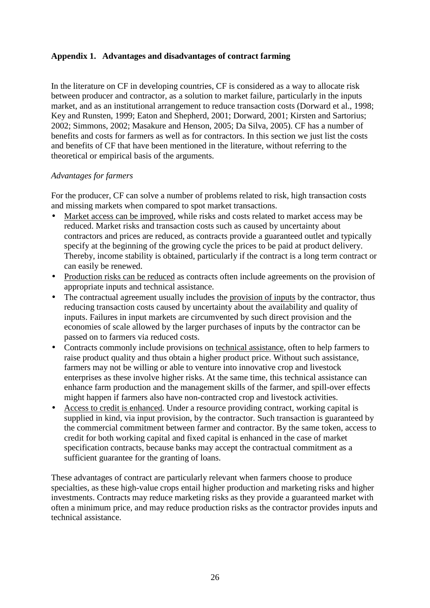## **Appendix 1. Advantages and disadvantages of contract farming**

In the literature on CF in developing countries, CF is considered as a way to allocate risk between producer and contractor, as a solution to market failure, particularly in the inputs market, and as an institutional arrangement to reduce transaction costs (Dorward et al., 1998; Key and Runsten, 1999; Eaton and Shepherd, 2001; Dorward, 2001; Kirsten and Sartorius; 2002; Simmons, 2002; Masakure and Henson, 2005; Da Silva, 2005). CF has a number of benefits and costs for farmers as well as for contractors. In this section we just list the costs and benefits of CF that have been mentioned in the literature, without referring to the theoretical or empirical basis of the arguments.

#### *Advantages for farmers*

For the producer, CF can solve a number of problems related to risk, high transaction costs and missing markets when compared to spot market transactions.

- Market access can be improved, while risks and costs related to market access may be reduced. Market risks and transaction costs such as caused by uncertainty about contractors and prices are reduced, as contracts provide a guaranteed outlet and typically specify at the beginning of the growing cycle the prices to be paid at product delivery. Thereby, income stability is obtained, particularly if the contract is a long term contract or can easily be renewed.
- Production risks can be reduced as contracts often include agreements on the provision of appropriate inputs and technical assistance.
- The contractual agreement usually includes the provision of inputs by the contractor, thus reducing transaction costs caused by uncertainty about the availability and quality of inputs. Failures in input markets are circumvented by such direct provision and the economies of scale allowed by the larger purchases of inputs by the contractor can be passed on to farmers via reduced costs.
- Contracts commonly include provisions on technical assistance, often to help farmers to raise product quality and thus obtain a higher product price. Without such assistance, farmers may not be willing or able to venture into innovative crop and livestock enterprises as these involve higher risks. At the same time, this technical assistance can enhance farm production and the management skills of the farmer, and spill-over effects might happen if farmers also have non-contracted crop and livestock activities.
- Access to credit is enhanced. Under a resource providing contract, working capital is supplied in kind, via input provision, by the contractor. Such transaction is guaranteed by the commercial commitment between farmer and contractor. By the same token, access to credit for both working capital and fixed capital is enhanced in the case of market specification contracts, because banks may accept the contractual commitment as a sufficient guarantee for the granting of loans.

These advantages of contract are particularly relevant when farmers choose to produce specialties, as these high-value crops entail higher production and marketing risks and higher investments. Contracts may reduce marketing risks as they provide a guaranteed market with often a minimum price, and may reduce production risks as the contractor provides inputs and technical assistance.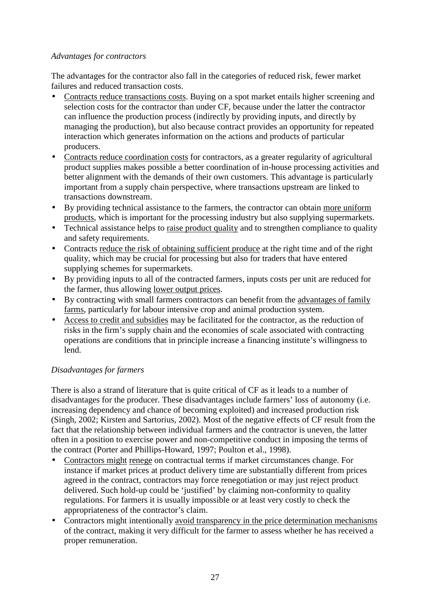## *Advantages for contractors*

The advantages for the contractor also fall in the categories of reduced risk, fewer market failures and reduced transaction costs.

- Contracts reduce transactions costs. Buying on a spot market entails higher screening and selection costs for the contractor than under CF, because under the latter the contractor can influence the production process (indirectly by providing inputs, and directly by managing the production), but also because contract provides an opportunity for repeated interaction which generates information on the actions and products of particular producers.
- Contracts reduce coordination costs for contractors, as a greater regularity of agricultural product supplies makes possible a better coordination of in-house processing activities and better alignment with the demands of their own customers. This advantage is particularly important from a supply chain perspective, where transactions upstream are linked to transactions downstream.
- By providing technical assistance to the farmers, the contractor can obtain more uniform products, which is important for the processing industry but also supplying supermarkets.
- Technical assistance helps to raise product quality and to strengthen compliance to quality and safety requirements.
- Contracts reduce the risk of obtaining sufficient produce at the right time and of the right quality, which may be crucial for processing but also for traders that have entered supplying schemes for supermarkets.
- By providing inputs to all of the contracted farmers, inputs costs per unit are reduced for the farmer, thus allowing lower output prices.
- By contracting with small farmers contractors can benefit from the advantages of family farms, particularly for labour intensive crop and animal production system.
- Access to credit and subsidies may be facilitated for the contractor, as the reduction of risks in the firm's supply chain and the economies of scale associated with contracting operations are conditions that in principle increase a financing institute's willingness to lend.

# *Disadvantages for farmers*

There is also a strand of literature that is quite critical of CF as it leads to a number of disadvantages for the producer. These disadvantages include farmers' loss of autonomy (i.e. increasing dependency and chance of becoming exploited) and increased production risk (Singh, 2002; Kirsten and Sartorius, 2002). Most of the negative effects of CF result from the fact that the relationship between individual farmers and the contractor is uneven, the latter often in a position to exercise power and non-competitive conduct in imposing the terms of the contract (Porter and Phillips-Howard, 1997; Poulton et al., 1998).

- Contractors might renege on contractual terms if market circumstances change. For instance if market prices at product delivery time are substantially different from prices agreed in the contract, contractors may force renegotiation or may just reject product delivered. Such hold-up could be 'justified' by claiming non-conformity to quality regulations. For farmers it is usually impossible or at least very costly to check the appropriateness of the contractor's claim.
- Contractors might intentionally avoid transparency in the price determination mechanisms of the contract, making it very difficult for the farmer to assess whether he has received a proper remuneration.